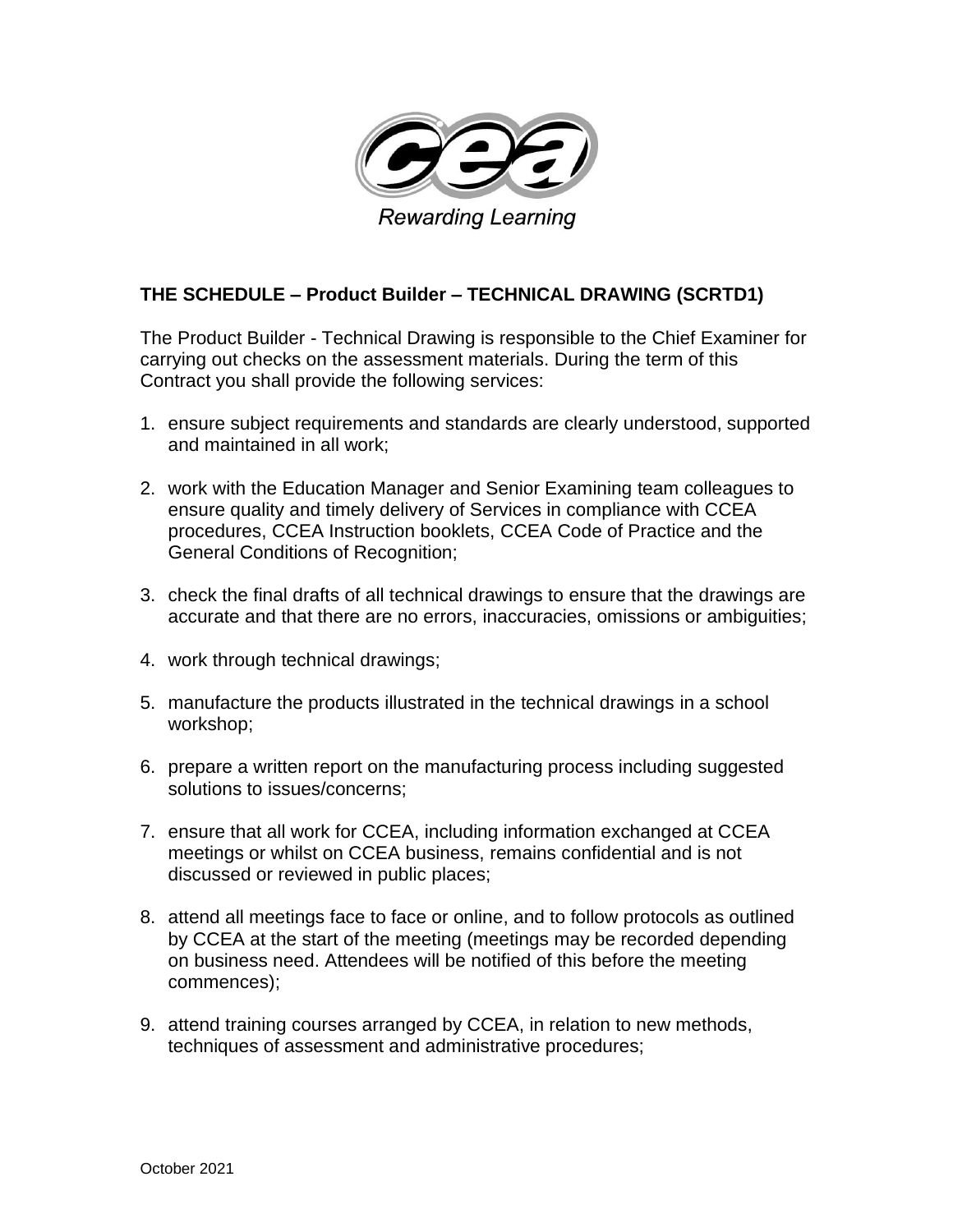

## **THE SCHEDULE – Product Builder – TECHNICAL DRAWING (SCRTD1)**

The Product Builder - Technical Drawing is responsible to the Chief Examiner for carrying out checks on the assessment materials. During the term of this Contract you shall provide the following services:

- 1. ensure subject requirements and standards are clearly understood, supported and maintained in all work;
- 2. work with the Education Manager and Senior Examining team colleagues to ensure quality and timely delivery of Services in compliance with CCEA procedures, CCEA Instruction booklets, CCEA Code of Practice and the General Conditions of Recognition;
- 3. check the final drafts of all technical drawings to ensure that the drawings are accurate and that there are no errors, inaccuracies, omissions or ambiguities;
- 4. work through technical drawings;
- 5. manufacture the products illustrated in the technical drawings in a school workshop;
- 6. prepare a written report on the manufacturing process including suggested solutions to issues/concerns;
- 7. ensure that all work for CCEA, including information exchanged at CCEA meetings or whilst on CCEA business, remains confidential and is not discussed or reviewed in public places;
- 8. attend all meetings face to face or online, and to follow protocols as outlined by CCEA at the start of the meeting (meetings may be recorded depending on business need. Attendees will be notified of this before the meeting commences);
- 9. attend training courses arranged by CCEA, in relation to new methods, techniques of assessment and administrative procedures;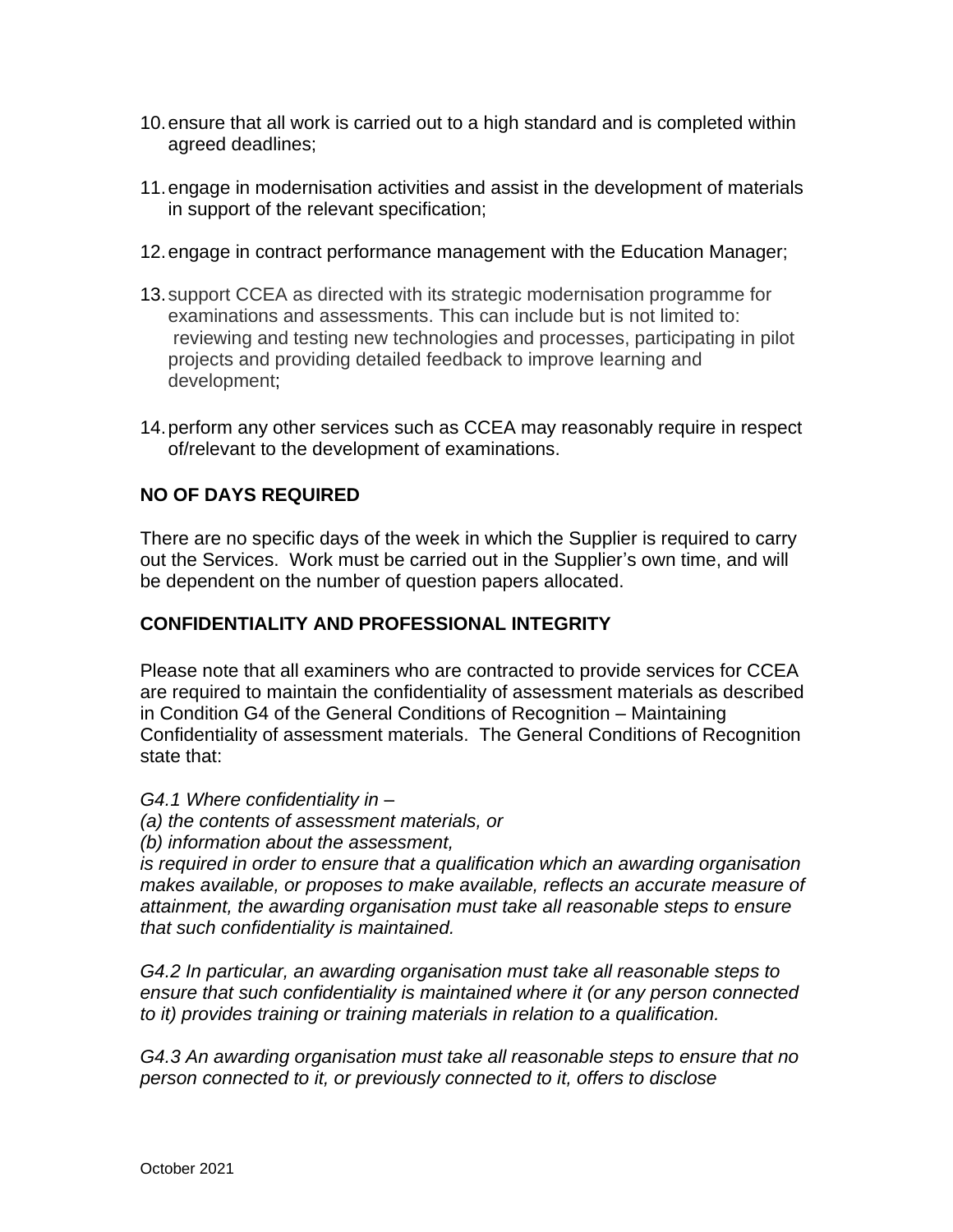- 10.ensure that all work is carried out to a high standard and is completed within agreed deadlines;
- 11.engage in modernisation activities and assist in the development of materials in support of the relevant specification;
- 12.engage in contract performance management with the Education Manager;
- 13.support CCEA as directed with its strategic modernisation programme for examinations and assessments. This can include but is not limited to: reviewing and testing new technologies and processes, participating in pilot projects and providing detailed feedback to improve learning and development;
- 14.perform any other services such as CCEA may reasonably require in respect of/relevant to the development of examinations.

## **NO OF DAYS REQUIRED**

There are no specific days of the week in which the Supplier is required to carry out the Services. Work must be carried out in the Supplier's own time, and will be dependent on the number of question papers allocated.

## **CONFIDENTIALITY AND PROFESSIONAL INTEGRITY**

Please note that all examiners who are contracted to provide services for CCEA are required to maintain the confidentiality of assessment materials as described in Condition G4 of the General Conditions of Recognition – Maintaining Confidentiality of assessment materials. The General Conditions of Recognition state that:

- *G4.1 Where confidentiality in –*
- *(a) the contents of assessment materials, or*
- *(b) information about the assessment,*

*is required in order to ensure that a qualification which an awarding organisation makes available, or proposes to make available, reflects an accurate measure of attainment, the awarding organisation must take all reasonable steps to ensure that such confidentiality is maintained.* 

*G4.2 In particular, an awarding organisation must take all reasonable steps to ensure that such confidentiality is maintained where it (or any person connected to it) provides training or training materials in relation to a qualification.* 

*G4.3 An awarding organisation must take all reasonable steps to ensure that no person connected to it, or previously connected to it, offers to disclose*